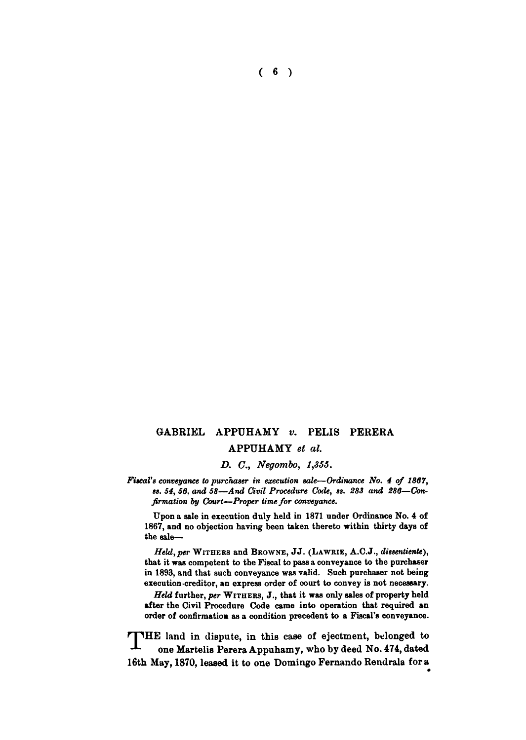**( 6 )** 

# **GABRIEL APPUHAMY** *v.* **PELIS PERERA APPUHAMY** *et al.*

*D. C, Negombo, 1,855.* 

Fiscal's conveyance to purchaser in execution sale—Ordinance No. 4 of 1867, *ss. 64, 50, and 58*—*And Civil Procedure Code, ss. 283 and 280*—*Confirmation by Court—Proper time for conveyance.* 

Upon a sale in execution duly held in 1871 under Ordinance No. 4 of 1867, and no objection having been taken thereto within thirty days of the sale—

*Held, per* **WITHER S** and **BKOWNE , J J . (LAWRIE** , A.C**.J.,** *dissentiente),*  that it was competent to the Fiscal to pass a conveyance to the purchaser in 1893, and that such conveyance was valid. Such purchaser not being execution-creditor, an express order of court to convey is not necessary.

*Held* further, *per* **WITHERS , J.,** that it was only sales of property held after the Civil Procedure Code came into operation that required an order of confirmation as a condition precedent to a Fiscal**'s** conveyance.

**THE land in dispute, in this case of ejectment, belonged to one Martelis Perera Appuhamy, who by deed No. 474, dated 16th May, 1870, leased it to one Domingo Fernando Rendrala for a**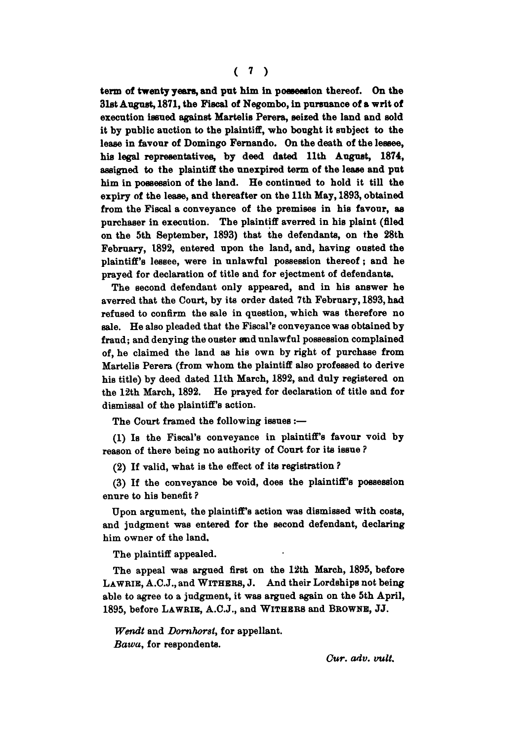**term of twenty years, and pat him in possession thereof. On the 31st August, 1871, the Fiscal of Negombo, in pursuance of a writ of execution issued against Martelis Perera, seized the land and sold it by public auction to the plaintiff, who bought it subject to the lease in favour of Domingo Fernando. On the death of the lessee, his legal representatives, by deed dated 11th August, 1874, assigned to the plaintiff the unexpired term of the lease and put him in possession of the land. He continued to hold it till the expiry of the lease, and thereafter on the 11th May, 1893, obtained from the Fiscal a conveyance of the premises in his favour, as purchaser in execution. The plaintiff averred in his plaint (filed on the 5th September, 1893) that the defendants, on the 28th February, 1892, entered upon the land, and, having ousted the plaintiff's lessee, were in unlawful possession thereof; and he prayed for declaration of title and for ejectment of defendants.** 

**The second defendant only appeared, and in his answer he averred that the Court, by its order dated 7th February, 1893, had refused to confirm the sale in question, which was therefore no sale. He also pleaded that the Fiscal'e conveyance was obtained by fraud; and denying the ouster and unlawful possession complained of, he claimed the land as his own by right of purchase from Martelis Perera (from whom the plaintiff also professed to derive his title) by deed dated 11th March, 1892, and duly registered on the 12th March, 1892. He prayed for declaration of title and for dismissal of the plaintiff's action.** 

**The Court framed the following issues :—** 

**(1) Is the Fiscal's conveyance in plaintiffs favour void by reason of there being no authority of Court for its issue ?** 

**(2) If valid, what is the effect of its registration ?** 

**(3) If the conveyance be void, does the plaintiff's possession enure to his benefit ?** 

Upon argument, the plaintiff's action was dismissed with costs, **and judgment was entered for the second defendant, declaring him owner of the land.** 

**The plaintiff appealed.** 

**The appeal was argued first on the 12th March, 1895, before LAWRIK, A.C.J., and WITHERS, J. And their Lordships not being able to agree to a judgment, it was argued again on the 5th April, 1895, before LAWRIB, A.C.J., and WITHER <sup>S</sup> and BROWNE, JJ.** 

*Wendt* **and** *Domhorsl,* **for appellant.**  *Bawa,* **for respondents.** 

*Cur. adv. vult.*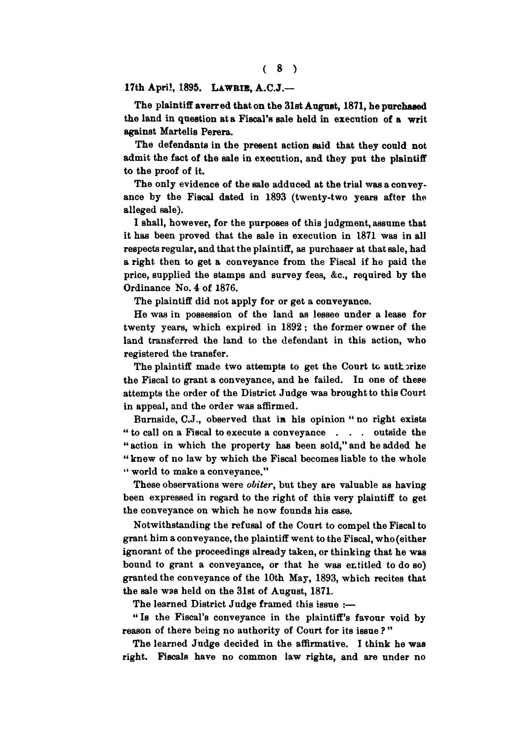**17th April, 1895. LAWRIE, A.C.J.—** 

**The plaintiff averred that on the 31st August, 1871, he purchased the land in question at a Fiscal's sale held in execution of a writ against Martelis Perera.** 

**The defendants in the present action said that they could not admit the fact of the sale in execution, and they put the plaintiff to the proof of it.** 

**The only evidence of the sale adduced at the trial was a conveyance by the Fiscal dated in 1893 (twenty-two years after the alleged sale).** 

**I shall, however, for the purposes of this judgment, assume that it has been proved that the sale in execution in 1871 was in all respects regular, and that the plaintiff, as purchaser at that sale, had a right then to get a conveyance from the Fiscal if he paid the price, supplied the Btamps and survey fees, &c, required by the Ordinance No. 4 of 1876.** 

**The plaintiff did not apply for or get a conveyance.** 

**He was in possession of the land as lessee under a lease for twenty years, which expired in 1892 ; the former owner of the land transferred the land to the defendant in this action, who registered the transfer.** 

The plaintiff made two attempts to get the Court to authorize **the Fiscal to grant a conveyance, and he failed. In one of these attempts the order of the District Judge was brought to this Court in appeal, and the order was affirmed.** 

**Burnside, C.J., observed that in his opinion " no right exists " to call on a Fiscal to execute a conveyance . . . outside the " action in which the property has been sold," and he added he " knew of no law by which the Fiscal becomes liable to the whole " world to make a conveyance."** 

**These observations were** *obiter,* **but they are valuable as having been expressed in regard to the right of this very plaintiff to get the conveyance on which he now founds his case.** 

**Notwithstanding the refusal of the Court to compel the Fiscal to grant him a conveyance, the plaintiff went to the Fiscal, who (either ignorant of the proceedings already taken, or thinking that he was bound to grant a conveyance, or that he was entitled to do so) granted the conveyance of the 10th May, 1893, which recites that the sale was held on the 31st of August, 1871.** 

**The learned District Judge framed this issue :—** 

**" Is the Fiscal's conveyance in the plaintiff's favour void by reason of there being no authority of Court for its issue ? "** 

**The learned Judge decided in the affirmative. I think he was right. Fiscals have no common law rights, and are under no**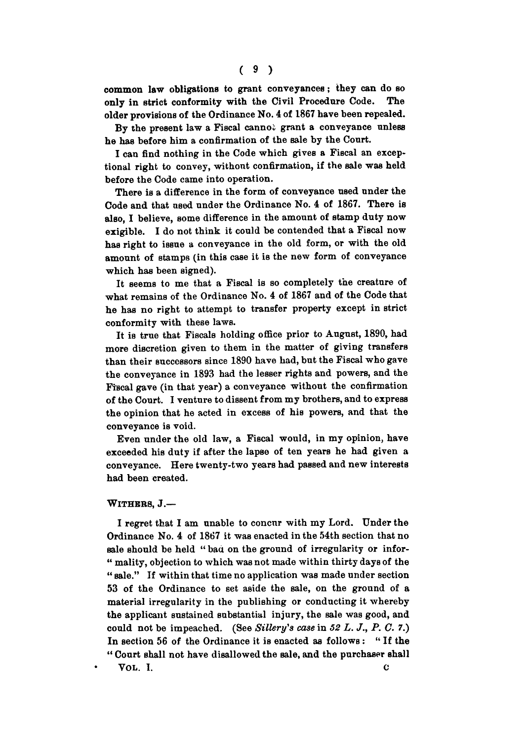**common law obligations to grant conveyances; they can do so only in strict conformity with the Civil Procedure Code. The older provisions of the Ordinance No. 4 of 1867 have been repealed.** 

**By the present law a Fiscal cannoi grant a conveyance unless he has before him a confirmation of the Bale by the Court.** 

**I can find nothing in the Code which gives a Fiscal an exceptional right to convey, without confirmation, if the sale was held before the Code came into operation.** 

**There is a difference in the form of conveyance used under the Code and that used under the Ordinance No. 4 of 1867. There is also, I believe, some difference in the amount of stamp duty now exigible. I do not think it could be contended that a Fiscal now has right to issue a conveyance in the old form, or with the old amount of stamps (in this case it is the new form of conveyance which has been signed).** 

**It seems to me that a Fiscal is so completely the creature of what remains of the Ordinance No. 4 of 1867 and of the Code that he has no right to attempt to transfer property except in strict conformity with these laws.** 

It is true that Fiscals holding office prior to August, 1890, had **more discretion given to them in the matter of giving transfers than their successors since 1890 have had, but the Fiscal who gave the conveyance in 1893 had the lesser rights and powers, and the Fiscal gave (in that year) a conveyance without the confirmation of the Court. I venture to dissent from my brothers, and to express the opinion that he acted in excess of his powers, and that the conveyance is void.** 

**Even under the old law, a Fiscal would, in my opinion, have exceeded his duty if after the lapse of ten years he had given a conveyance. Here twenty-two years had passed and new interests had been created.** 

#### **WITHERS, J.—**

**I regret that I am unable to concur with my Lord. Under the Ordinance No. 4 of 1867 it was enacted in the 54th section that no sale should be held " baa on the ground of irregularity or infor- " mality, objection to which was not made within thirty days of the " sale." If within that time no application was made under section 53 of the Ordinance to set aside the sale, on the ground of a material irregularity in the publishing or conducting it whereby the applicant sustained substantial injury, the** Bale **was good, and could not be impeached. (See** *Sillery's case* **in** *52 L. J., P. C. 7.)*  **In section 56 of the Ordinance it is enacted as follows : " If the " Court shall not have disallowed the sale, and the purchaser shall VOL . I. c**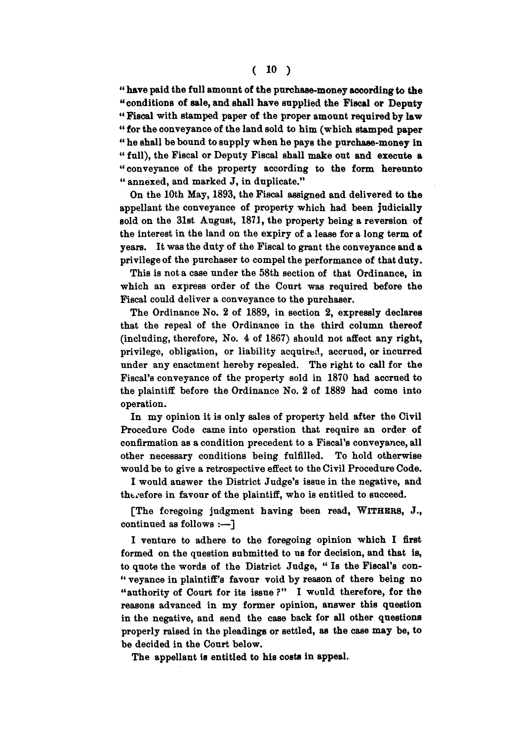### **( io )**

**" have paid the f nil amount of** the **purchase-money according to** the **«conditions of sale, and shall have supplied** the **Fiscal or Deputy " Fiscal with stamped paper of the proper amount required by law " for the conveyance of the land sold to him (which stamped paper " he shall be bound to supply when he pays the purchase-money in " full), the Fiscal or Deputy Fiscal shall make out and execute a "conveyance of the property according to the form hereunto " annexed, and marked J, in duplicate."** 

**On the 10th May, 1893, the Fiscal assigned and delivered to the appellant the conveyance of property which had been judicially sold on the 31st August, 1871, the property being a reversion of the interest in the land on the expiry of a lease for a long term of years. It was the duty of the Fiscal to grant the conveyance and a privilege of the purchaser to compel the performance of that duty.** 

**This is not a case under the 58th section of that Ordinance, in which an express order of the Court was required before the Fiscal could deliver a conveyance to the purchaser.** 

**The Ordinance No. 2 of 1889, in section 2, expressly declares that the repeal of the Ordinance in the third column thereof (including, therefore, No. 4 of 1867) should not affect any right, privilege, obligation, or liability acquired, accrued, or incurred under any enactment hereby repealed. The right to call for the Fiscal's conveyance of the property sold in 1870 had accrued to the plaintiff before the Ordinance No. 2 of 1889 had come into operation.** 

**In my opinion it is only sales of property held after the Civil Procedure Code came into operation that require an order of confirmation as a condition precedent to a Fiscal's conveyance, all other necessary conditions being fulfilled. To hold otherwise would be to give a retrospective effect to the Civil Procedure Code.** 

**I would answer the District Judge's issue in the negative, and therefore in favour of the plaintiff, who is entitled to succeed.** 

**[The foregoing judgment having been read, WITHERS, J., continued as follows :—]** 

**I venture to adhere to the foregoing opinion which I first formed on the question submitted to us for decision, and that is, to quote the words of the District Judge, " Is the Fiscal's con- " veyance in plaintiff's favour void by reason of there being no "authority of Court for its issue ?" I would therefore, for the reasons advanced in my former opinion, answer this question in the negative, and send the case back for all other questions properly raised in the pleadings or settled, as the case may be, to be decided in the Court below.** 

**The appellant is entitled to his costs in appeal.**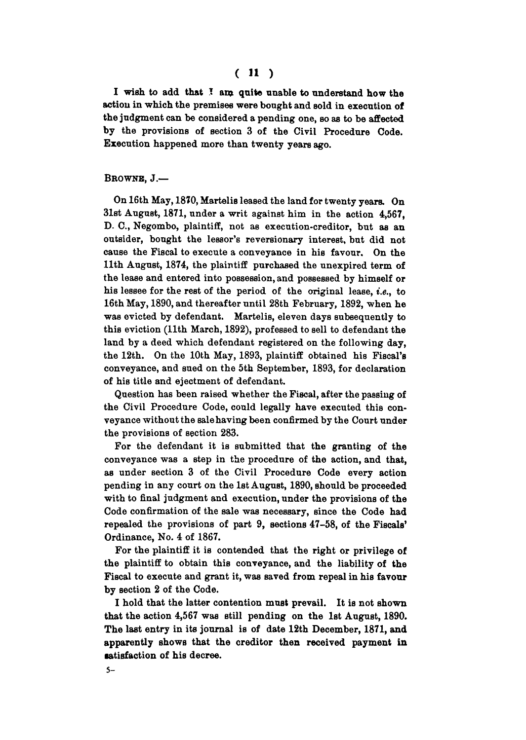# ( 11 )

**I wish to add that I am quite unable to understand how the action in which the premises were bought and sold in execution of the judgment can be considered a pending one, so as to be affected by the provisions of Bection 3 of the Civil Procedure Code. Execution happened more than twenty years ago.** 

### **BROWNS, J.—**

**On 16th May, 1870, Martelis leased the land for twenty years. On 31st August, 1871, under a writ against him in the action 4,567, D. C, Negombo, plaintiff, not as execution-creditor, but as an outsider, bought the lessor's reversionary interest, but did not cause the Fiscal to execute a conveyance in his favour. On the 11th August, 1874, the plaintiff purchased the unexpired term of the lease and entered into possession, and possessed by himself or his lessee for the rest of the period of the original lease,** *i.e.,* **to 16th May, 1890, and thereafter until 28th February, 1892, when he was evicted by defendant. Martelis, eleven days subsequently to this eviction (11th March, 1892), professed to sell to defendant the land by a deed which defendant registered on the following day, the 12th. On the 10th May, 1893, plaintiff obtained his Fiscal's conveyance, and sued on the 5th September, 1893, for declaration of his title and ejectment of defendant.** 

**Question has been raised whether the Fiscal, after the passing of the Civil Procedure Code, could legally have executed this conveyance without the sale having been confirmed by the Court under the provisions of section 283.** 

**For the defendant it is submitted that the granting of the conveyance was a step in the procedure of the action, and that, as under section 3 of the Civil Procedure Code every action pending in any court on the 1st August, 1890, should be proceeded with to final judgment and execution, under the provisions of the Code confirmation of the sale was necessary, since the Code had repealed the provisions of part 9, sections 47-58, of the Fiscals' Ordinance, No. 4 of 1867.** 

**For the plaintiff it is contended that the right or privilege of the plaintiff to obtain this conveyance, and the liability of the Fiscal to execute and grant it, was saved from repeal in his favour by section 2 of the Code.** 

**I hold that the latter contention must prevail. It is not shown that the action 4,567 was still pending on the 1st August, 1890. The last entry in its journal is of date 12th December, 1871, and apparently shows that the creditor then received payment in satisfaction of his decree.**